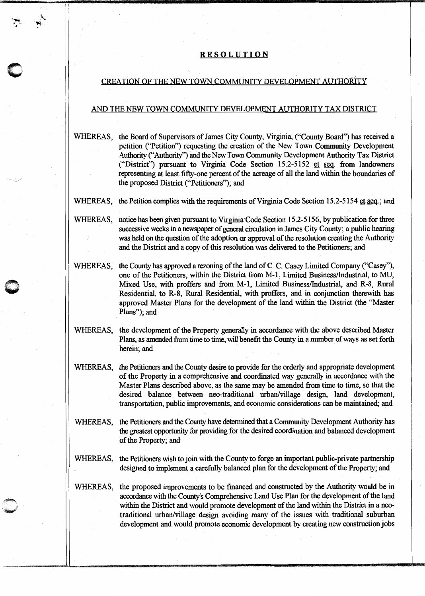## **RE SOL UT ION**

·-  $^{\bullet}$   $^{\circ}$ ..

.\. ·~

11

**0** 

## CREATION OF THE NEW TOWN COMMUNITY DEVELOPMENT AUTHORITY

## AND THE NEW TOWN COMMUNITY DEVELOPMENT AUTHORITY TAX DISTRICT

- WHEREAS, the Board of Supervisors of James City County, Virginia, ("County Board") has received a petition ("Petition") requesting the creation of the New Town Community Development Authority ("Authority") and the New Town Community Development Authority Tax District ("District") pursuant to Virginia Code Section  $15.2-5152$  et seq. from landowners representing at least fifty-one percent of the acreage of all the land within the boundaries of the proposed District ("Petitioners"); and
- WHEREAS, the Petition complies with the requirements of Virginia Code Section 15.2-5154  $g_{\text{I}}g_{\text{I}}$  and

WHEREAS, notice has been given pursuant to Virginia Code Section 15.2-5156, by publication for three successive weeks in a newspaper of general circulation in James City County; a public hearing was held on the question of the adoption or approval of the resolution creating the Authority and the District and a copy of this resolution was delivered to the Petitioners; and

- WHEREAS, the County has approved a rezoning of the land of C. C. Casey Limited Company ("Casey"), one of the Petitioners, within the District from M-1, Limited Business/Industrial, to MU, Mixed Use, with proffers and from M-1, Limited Business/Industrial, and R-8, Rural Residential, to R-8, Rural Residential, with proffers, and in conjunction therewith has approved Master Plans for the development of the land within the District (the "Master Plans"); and
- WHEREAS, the development of the Property generally in accordance with the above described Master Plans, as amended from time to time, will benefit the County in a number of ways as set forth herein; and
- WHEREAS, the Petitioners and the County desire to provide for the orderly and appropriate development of the Property in a comprehensive and coordinated way generally in accordance with the Master Plans described above, as the same may be amended from time to time, so that the desired balance between neo-traditional urban/village design, land development, transportation, public improvements, and economic considerations can be maintained; and
- WHEREAS, the Petitioners and the County have detennined that a Community Development Authority has the greatest opportunity for providing for the desired coordination and balanced development of the Property; and
- WHEREAS, the Petitioners wish to join with the County to forge an important public-private partnership designed to implement a carefully balanced plan for the development of the Property; and
- WHEREAS, the proposed improvements to be financed and constructed by the Authority would be in accordance with the County's Comprehensive Land Use Plan for the development of the land within the District and would promote development of the land within the District in a neotraditional urban/village design avoiding many of the issues with traditional suburban development and would promote economic development by creating new construction jobs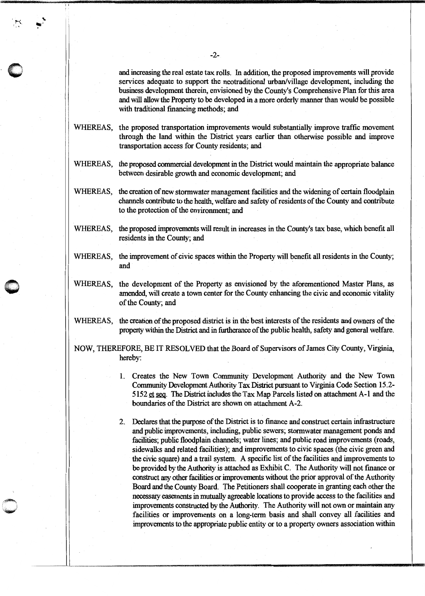and increasing the real estate tax rolls. In addition, the proposed improvements will provide services adequate to support the neotraditional urban/village development, including the business development therein, envisioned by the County's Comprehensive Plan for this area and will allow the Property to be developed in a more orderly manner than would be possible with traditional financing methods; and

WHEREAS, the proposed transportation improvements would substantially improve traffic movement through the land within the District years earlier than otherwise possible and improve transportation access for County residents; and

- WHEREAS, the proposed commercial development in the District would maintain the appropriate balance between desirable growth and economic development; and
- WHEREAS, the creation of new stormwater management facilities and the widening of certain floodplain channels contribute to the health, welfare and safety of residents of the County and contribute to the protection of the environment; and
- WHEREAS, the proposed improvements will result in increases in the County's tax base, which benefit all residents in the County; and
- WHEREAS, the improvement of civic spaces within the Property will benefit all residents in the County; and
- WHEREAS, the development of the Property as envisioned by the aforementioned Master Plans, as amended, will create a town center for the County enhancing the civic and economic vitality of the County; and
- WHEREAS, the creation of the proposed district is in the best interests of the residents and owners of the property within the District and in furtherance of the public health, safety and general welfare.

NOW, THEREFORE, BE IT RESOLVED that the Board of Supervisors of James City County, Virginia, hereby:

- I. Creates the New Town Community Development Authority and the New Town Community Development Authority Tax District pursuant to Virginia Code Section 15.2- 5152  $q_{\text{f}}$  seq. The District includes the Tax Map Parcels listed on attachment A-1 and the boundaries of the District are shown on attachment A-2.
- 2. Declares that the purpose of the District is to finance and construct certain infrastructure and public improvements, including, public sewers; stormwater management ponds and facilities; public floodplain channels; water lines; and public road improvements (roads, sidewalks and related facilities); and improvements to civic spaces (the civic green and the civic square) and a trail system. A specific list of the facilities and improvements to be provided by the Authority is attached as Exhibit C. The Authority will not finance or construct any other facilities or improvements without the prior approval of the Authority Board and the County Board. The Petitioners shall cooperate in granting each other the necessary easements in mutually agreeable locations to provide access to the facilities and improvements constructed by the Authority. The Authority will not own or maintain any facilities or improvements on a long-term basis and shall convey all facilities and improvements to the appropriate public entity or to a property owners association within

, ,

 $\breve{}$  $\langle \cdot \rangle$ 

 $\bigcirc$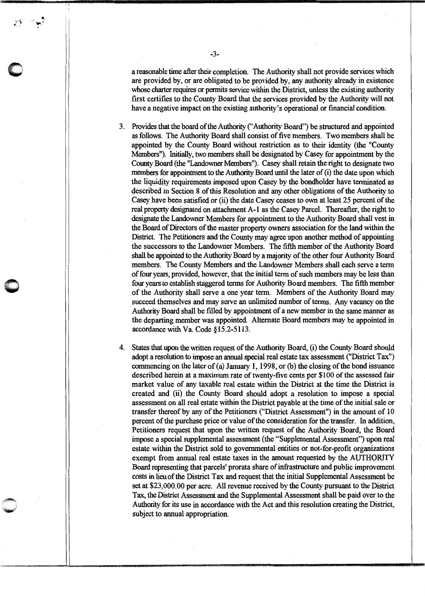a reasonable time after their completion. The Authority shall not provide services which are provided by, or are obligated to be provided by, any authority already in existence whose charter requires or pennits service within the District, unless the existing authority first certifies to the County Board that the services provided by the Authority will not have a negative impact on the existing authority's operational or financial condition.

3. Provides that the board of the Authority ("Authority Board") be structured and appointed as follows. The Authority Board shall consist of five members. Two members shall be appointed by the County Board without restriction as to their identity (the "County Members"). Initially, two members shall be designated by Casey for appointment by the County Board (the "Landowner Members"). Casey shall retain the right to designate two members for appointment to the Authority Board until the later of (i) the date upon which the liquidity requirements imposed upon Casey by the bondholder have terminated as described in Section 8 of this Resolution and any other obligations of the Authority to Casey have been satisfied or (ii) the date Casey ceases to own at least 25 percent of the real property designated on attachment A-1 as the Casey Parcel. Thereafter, the right to designate the Landowner Members for appointment to the Authority Board shall vest in the Board of Directors of the master property owners association for the land within the District. The Petitioners and the County may agree upon another method of appointing the successors to the Landowner Members. The fifth member of the Authority Board shall be appointed to the Authority Board by a majority of the other four Authority Board members. The County Members and the Landowner Members shall each serve a term of four years, provided, however, that the initial term of such members may be less than four years to establish staggered terms for Authority Board members. The fifth member of the Authority shall serve a one year term. Members of the Authority Board may succeed themselves and may serve an unlimited number of terms. Any vacancy on the Authority Board shall be filled by appointment of a new member in the same manner as the departing member was appointed. Alternate Board members may be appointed in accordance with Va. Code §15.2-5113.

4. States that upon the written request of the Authority Board, (i) the County Board should adopt a resolution to impose an annual special real estate tax assessment ("District Tax") commencing on the later of (a) January 1, 1998, or (b) the closing of the bond issuance described herein at a maximum rate of twenty-five cents per \$100 of the assessed fair market value of any taxable real estate within the District at the time the District is created and (ii) the County Board should adopt a resolution to impose a special assessment on all real estate within the District payable at the time of the initial sale or transfer thereof by any of the Petitioners ("District Assessment") in the amount of 10 percent of the purchase price or value of the consideration for the transfer. In addition, Petitioners request that upon the written request of the Authority Board, the Board impose a special supplemental assessment (the "Supplemental Assessment") upon real estate within the District sold to governmental entities or not-for-profit organizations exempt from annual real estate taxes in the amount requested by the AUTHORITY Board representing that parcels' prorata share of infrastructure and public improvement costs in lieu of the District Tax and request that the initial Supplemental Assessment be set at \$23,000.00 per acre. All revenue received by the County pursuant to the District Tax, the District Assessment and the Supplemental Assessment shall be paid over to the Authority for its use in accordance with the Act and this resolution creating the District, subject to annual appropriation.

11

 $\bullet$ 

 $(1)$  $\sim$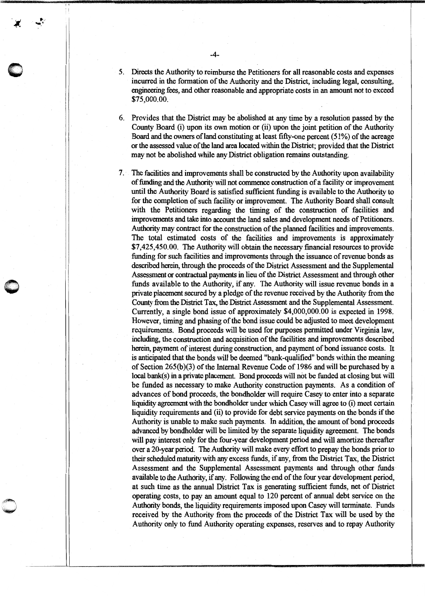- *5.* Directs the Authority to reimburse the Petitioners for all reasonable costs and expenses incurred in the formation of the Authority and the District, including legal, consulting, engineering fees, and other reasonable and appropriate costs in an amount not to exceed \$75,000.00.
- 6. Provides that the District may be abolished at any time by a resolution passed by the County Board (i) upon its own motion or (ii) upon the joint petition of the Authority Board and the owners of land constituting at least fifty-one percent  $(51\%)$  of the acreage or the assessed value of the land area located within the District; provided that the District may not be abolished while any District obligation remains outstanding.
- 7. The facilities and improvements shall be constructed by the Authority upon availability of funding and the Authority will not commence construction of a facility or improvement until the Authority Board is satisfied sufficient funding is available to the Authority to for the completion of such facility or improvement. The Authority Board shall consult with the Petitioners regarding the timing of the construction of facilities and improvements and take into account the land sales and development needs of Petitioners. Authority may contract for the construction of the planned facilities and improvements. The total estimated costs of the facilities and improvements is approximately \$7,425,450.00. The Authority will obtain the necessary financial resources to provide funding for such facilities and improvements through the issuance of revenue bonds as described herein, through the proceeds of the District Assessment and the Supplemental Assessment or contractual payments in lieu of the District Assessment and through other funds available to the Authority, if any. The Authority will issue revenue bonds in a private placement secured by a pledge of the revenue received by the Authority from the County from the District Tax, the District Assessment and the Supplemental Assessment. Currently, a single bond issue of approximately \$4,000,000.00 is expected in 1998. However, timing and phasing of the bond issue could be adjusted to meet development requirements. Bond proceeds will be used for purposes permitted under Virginia law, including, the construction and acquisition of the facilities and improvements described herein, payment of interest during construction, and payment of bond issuance costs. It is anticipated that the bonds will be deemed "bank-qualified" bonds within the meaning of Section 265(b)(3) of the Internal Revenue Code of 1986 and will be purchased by a local bank(s) in a private placement. Bond proceeds will not be funded at closing but will be funded as necessary to make Authority construction payments. As a condition of advances of bond proceeds, the bondholder will require Casey to enter into a separate liquidity agreement with the bondholder under which Casey will agree to (i) meet certain liquidity requirements and (ii) to provide for debt service payments on the bonds if the Authority is unable to make such payments. In addition, the amount of bond proceeds advanced by bondholder will be limited by the separate liquidity agreement. The bonds will pay interest only for the four-year development period and will amortize thereafter over a 20-year period. The Authority will make every effort to prepay the bonds prior to their scheduled maturity with any excess funds, if any, from the District Tax, the District Assessment and the Supplemental Assessment payments and through other funds available to the Authority, if any. Following the end of the four year development period, at such time as the annual District Tax is generating sufficient funds, net of District operating costs, to pay an amount equal to 120 percent of annual debt service on the Authority bonds, the liquidity requirements imposed upon Casey will terminate. Funds received by the Authority from the proceeds of the District Tax will be used by the Authority only to fund Authority operating expenses, reserves and to repay Authority

 $\mathcal{L}_\text{max} = \frac{1}{2} \sum_{i=1}^n \mathcal{L}_\text{max} \left[ \frac{1}{2} \sum_{i=1}^n \mathcal{L}_\text{max} \left[ \frac{1}{2} \sum_{i=1}^n \mathcal{L}_\text{max} \left[ \frac{1}{2} \sum_{i=1}^n \mathcal{L}_\text{max} \left[ \frac{1}{2} \sum_{i=1}^n \mathcal{L}_\text{max} \left[ \frac{1}{2} \sum_{i=1}^n \mathcal{L}_\text{max} \left[ \frac{1}{2} \sum_{i=1}^n \mathcal{L}_\text{max} \$ 

 $\bigcirc$ 

I I